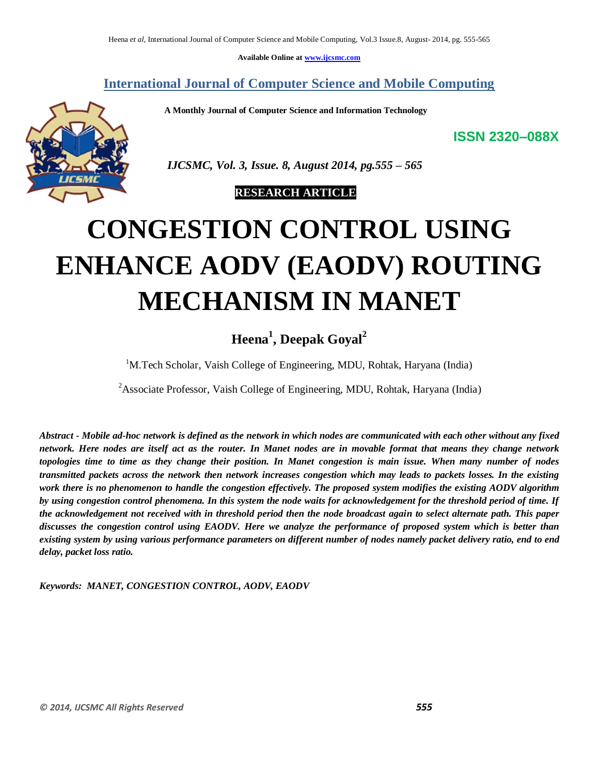**Available Online at www.ijcsmc.com**

# **International Journal of Computer Science and Mobile Computing**

 **A Monthly Journal of Computer Science and Information Technology**

**ISSN 2320–088X**



 *IJCSMC, Vol. 3, Issue. 8, August 2014, pg.555 – 565*

 **RESEARCH ARTICLE**

# **CONGESTION CONTROL USING ENHANCE AODV (EAODV) ROUTING MECHANISM IN MANET**

# **Heena<sup>1</sup> , Deepak Goyal<sup>2</sup>**

<sup>1</sup>M.Tech Scholar, Vaish College of Engineering, MDU, Rohtak, Haryana (India)

<sup>2</sup>Associate Professor, Vaish College of Engineering, MDU, Rohtak, Haryana (India)

*Abstract - Mobile ad-hoc network is defined as the network in which nodes are communicated with each other without any fixed network. Here nodes are itself act as the router. In Manet nodes are in movable format that means they change network topologies time to time as they change their position. In Manet congestion is main issue. When many number of nodes transmitted packets across the network then network increases congestion which may leads to packets losses. In the existing work there is no phenomenon to handle the congestion effectively. The proposed system modifies the existing AODV algorithm by using congestion control phenomena. In this system the node waits for acknowledgement for the threshold period of time. If the acknowledgement not received with in threshold period then the node broadcast again to select alternate path. This paper discusses the congestion control using EAODV. Here we analyze the performance of proposed system which is better than existing system by using various performance parameters on different number of nodes namely packet delivery ratio, end to end delay, packet loss ratio.*

*Keywords: MANET, CONGESTION CONTROL, AODV, EAODV*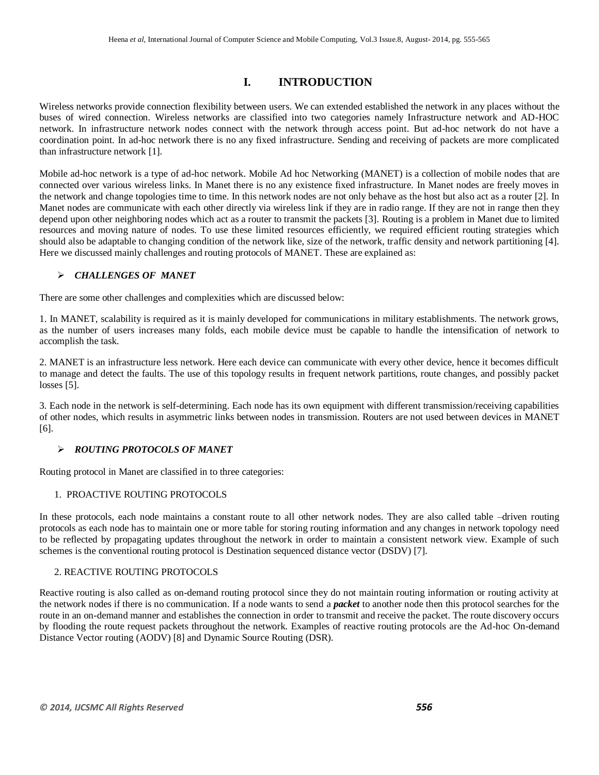## **I. INTRODUCTION**

Wireless networks provide connection flexibility between users. We can extended established the network in any places without the buses of wired connection. Wireless networks are classified into two categories namely Infrastructure network and AD-HOC network. In infrastructure network nodes connect with the network through access point. But ad-hoc network do not have a coordination point. In ad-hoc network there is no any fixed infrastructure. Sending and receiving of packets are more complicated than infrastructure network [1].

Mobile ad-hoc network is a type of ad-hoc network. Mobile Ad hoc Networking (MANET) is a collection of mobile nodes that are connected over various wireless links. In Manet there is no any existence fixed infrastructure. In Manet nodes are freely moves in the network and change topologies time to time. In this network nodes are not only behave as the host but also act as a router [2]. In Manet nodes are communicate with each other directly via wireless link if they are in radio range. If they are not in range then they depend upon other neighboring nodes which act as a router to transmit the packets [3]. Routing is a problem in Manet due to limited resources and moving nature of nodes. To use these limited resources efficiently, we required efficient routing strategies which should also be adaptable to changing condition of the network like, size of the network, traffic density and network partitioning [4]. Here we discussed mainly challenges and routing protocols of MANET. These are explained as:

#### *CHALLENGES OF MANET*

There are some other challenges and complexities which are discussed below:

1. In MANET, scalability is required as it is mainly developed for communications in military establishments. The network grows, as the number of users increases many folds, each mobile device must be capable to handle the intensification of network to accomplish the task.

2. MANET is an infrastructure less network. Here each device can communicate with every other device, hence it becomes difficult to manage and detect the faults. The use of this topology results in frequent network partitions, route changes, and possibly packet losses [5].

3. Each node in the network is self-determining. Each node has its own equipment with different transmission/receiving capabilities of other nodes, which results in asymmetric links between nodes in transmission. Routers are not used between devices in MANET [6].

#### *ROUTING PROTOCOLS OF MANET*

Routing protocol in Manet are classified in to three categories:

#### 1. PROACTIVE ROUTING PROTOCOLS

In these protocols, each node maintains a constant route to all other network nodes. They are also called table –driven routing protocols as each node has to maintain one or more table for storing routing information and any changes in network topology need to be reflected by propagating updates throughout the network in order to maintain a consistent network view. Example of such schemes is the conventional routing protocol is Destination sequenced distance vector (DSDV) [7].

#### 2. REACTIVE ROUTING PROTOCOLS

Reactive routing is also called as on-demand routing protocol since they do not maintain routing information or routing activity at the network nodes if there is no communication. If a node wants to send a *packet* to another node then this protocol searches for the route in an on-demand manner and establishes the connection in order to transmit and receive the packet. The route discovery occurs by flooding the route request packets throughout the network. Examples of reactive routing protocols are the Ad-hoc On-demand Distance Vector routing (AODV) [8] and Dynamic Source Routing (DSR).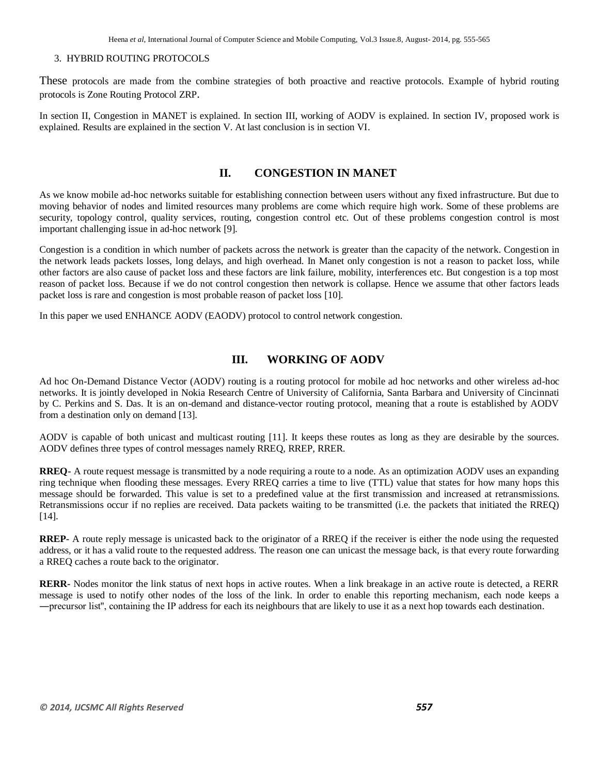#### 3. HYBRID ROUTING PROTOCOLS

These protocols are made from the combine strategies of both proactive and reactive protocols. Example of hybrid routing protocols is Zone Routing Protocol ZRP.

In section II, Congestion in MANET is explained. In section III, working of AODV is explained. In section IV, proposed work is explained. Results are explained in the section V. At last conclusion is in section VI.

#### **II. CONGESTION IN MANET**

As we know mobile ad-hoc networks suitable for establishing connection between users without any fixed infrastructure. But due to moving behavior of nodes and limited resources many problems are come which require high work. Some of these problems are security, topology control, quality services, routing, congestion control etc. Out of these problems congestion control is most important challenging issue in ad-hoc network [9].

Congestion is a condition in which number of packets across the network is greater than the capacity of the network. Congestion in the network leads packets losses, long delays, and high overhead. In Manet only congestion is not a reason to packet loss, while other factors are also cause of packet loss and these factors are link failure, mobility, interferences etc. But congestion is a top most reason of packet loss. Because if we do not control congestion then network is collapse. Hence we assume that other factors leads packet loss is rare and congestion is most probable reason of packet loss [10].

In this paper we used ENHANCE AODV (EAODV) protocol to control network congestion.

#### **III. WORKING OF AODV**

Ad hoc On-Demand Distance Vector (AODV) routing is a routing protocol for mobile ad hoc networks and other wireless ad-hoc networks. It is jointly developed in Nokia Research Centre of University of California, Santa Barbara and University of Cincinnati by C. Perkins and S. Das. It is an on-demand and distance-vector routing protocol, meaning that a route is established by AODV from a destination only on demand [13].

AODV is capable of both unicast and multicast routing [11]. It keeps these routes as long as they are desirable by the sources. AODV defines three types of control messages namely RREQ, RREP, RRER.

**RREQ-** A route request message is transmitted by a node requiring a route to a node. As an optimization AODV uses an expanding ring technique when flooding these messages. Every RREQ carries a time to live (TTL) value that states for how many hops this message should be forwarded. This value is set to a predefined value at the first transmission and increased at retransmissions. Retransmissions occur if no replies are received. Data packets waiting to be transmitted (i.e. the packets that initiated the RREQ) [14].

**RREP-** A route reply message is unicasted back to the originator of a RREQ if the receiver is either the node using the requested address, or it has a valid route to the requested address. The reason one can unicast the message back, is that every route forwarding a RREQ caches a route back to the originator.

**RERR-** Nodes monitor the link status of next hops in active routes. When a link breakage in an active route is detected, a RERR message is used to notify other nodes of the loss of the link. In order to enable this reporting mechanism, each node keeps a ―precursor list'', containing the IP address for each its neighbours that are likely to use it as a next hop towards each destination.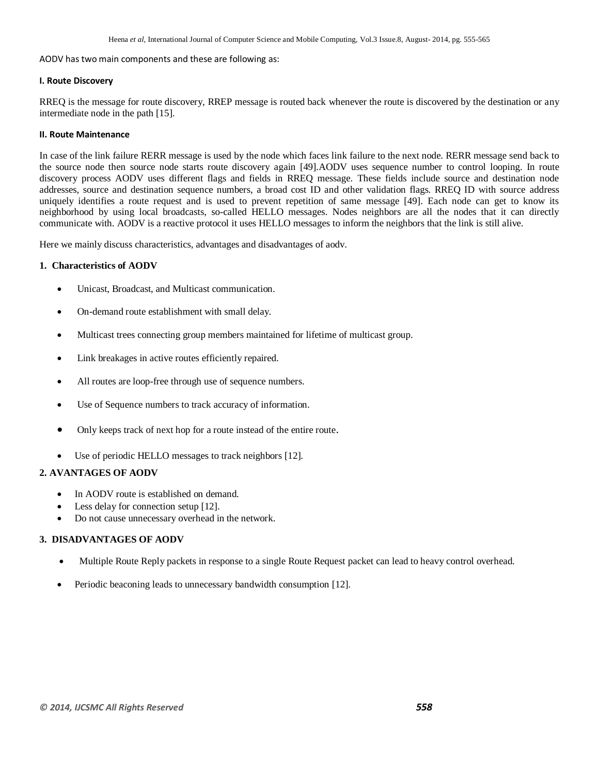AODV has two main components and these are following as:

#### **I. Route Discovery**

RREQ is the message for route discovery, RREP message is routed back whenever the route is discovered by the destination or any intermediate node in the path [15].

#### **II. Route Maintenance**

In case of the link failure RERR message is used by the node which faces link failure to the next node. RERR message send back to the source node then source node starts route discovery again [49].AODV uses sequence number to control looping. In route discovery process AODV uses different flags and fields in RREQ message. These fields include source and destination node addresses, source and destination sequence numbers, a broad cost ID and other validation flags. RREQ ID with source address uniquely identifies a route request and is used to prevent repetition of same message [49]. Each node can get to know its neighborhood by using local broadcasts, so-called HELLO messages. Nodes neighbors are all the nodes that it can directly communicate with. AODV is a reactive protocol it uses HELLO messages to inform the neighbors that the link is still alive.

Here we mainly discuss characteristics, advantages and disadvantages of aodv.

#### **1. Characteristics of AODV**

- Unicast, Broadcast, and Multicast communication.
- On-demand route establishment with small delay.
- Multicast trees connecting group members maintained for lifetime of multicast group.
- Link breakages in active routes efficiently repaired.
- All routes are loop-free through use of sequence numbers.
- Use of Sequence numbers to track accuracy of information.
- Only keeps track of next hop for a route instead of the entire route.
- Use of periodic HELLO messages to track neighbors [12].

#### **2. AVANTAGES OF AODV**

- In AODV route is established on demand.
- Less delay for connection setup [12].
- Do not cause unnecessary overhead in the network.

#### **3. DISADVANTAGES OF AODV**

- Multiple Route Reply packets in response to a single Route Request packet can lead to heavy control overhead.
- Periodic beaconing leads to unnecessary bandwidth consumption [12].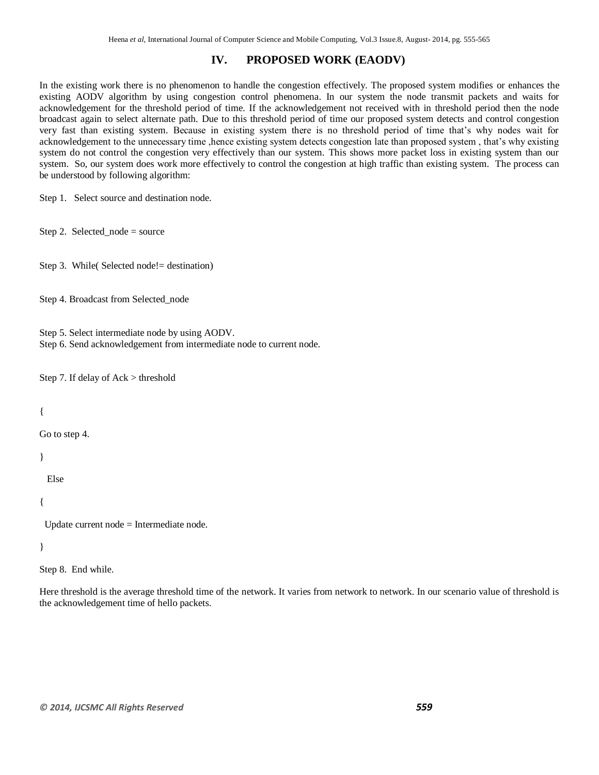#### **IV. PROPOSED WORK (EAODV)**

In the existing work there is no phenomenon to handle the congestion effectively. The proposed system modifies or enhances the existing AODV algorithm by using congestion control phenomena. In our system the node transmit packets and waits for acknowledgement for the threshold period of time. If the acknowledgement not received with in threshold period then the node broadcast again to select alternate path. Due to this threshold period of time our proposed system detects and control congestion very fast than existing system. Because in existing system there is no threshold period of time that's why nodes wait for acknowledgement to the unnecessary time ,hence existing system detects congestion late than proposed system , that's why existing system do not control the congestion very effectively than our system. This shows more packet loss in existing system than our system. So, our system does work more effectively to control the congestion at high traffic than existing system. The process can be understood by following algorithm:

Step 1. Select source and destination node.

Step 2. Selected\_node = source

Step 3. While (Selected node!= destination)

Step 4. Broadcast from Selected\_node

Step 5. Select intermediate node by using AODV.

Step 6. Send acknowledgement from intermediate node to current node.

Step 7. If delay of Ack > threshold

{

Go to step 4.

}

Else

{

Update current node = Intermediate node.

}

Step 8. End while.

Here threshold is the average threshold time of the network. It varies from network to network. In our scenario value of threshold is the acknowledgement time of hello packets.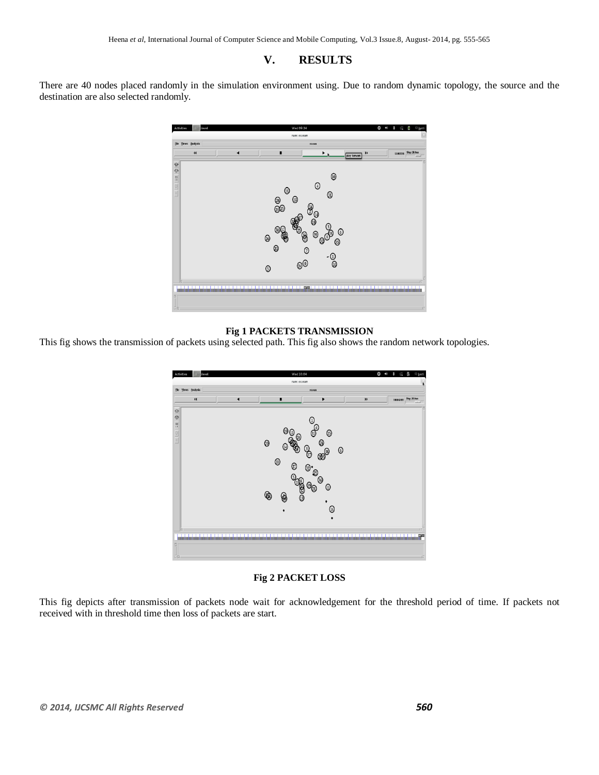### **V. RESULTS**

There are 40 nodes placed randomly in the simulation environment using. Due to random dynamic topology, the source and the destination are also selected randomly.



#### **Fig 1 PACKETS TRANSMISSION**

This fig shows the transmission of packets using selected path. This fig also shows the random network topologies.



#### **Fig 2 PACKET LOSS**

This fig depicts after transmission of packets node wait for acknowledgement for the threshold period of time. If packets not received with in threshold time then loss of packets are start.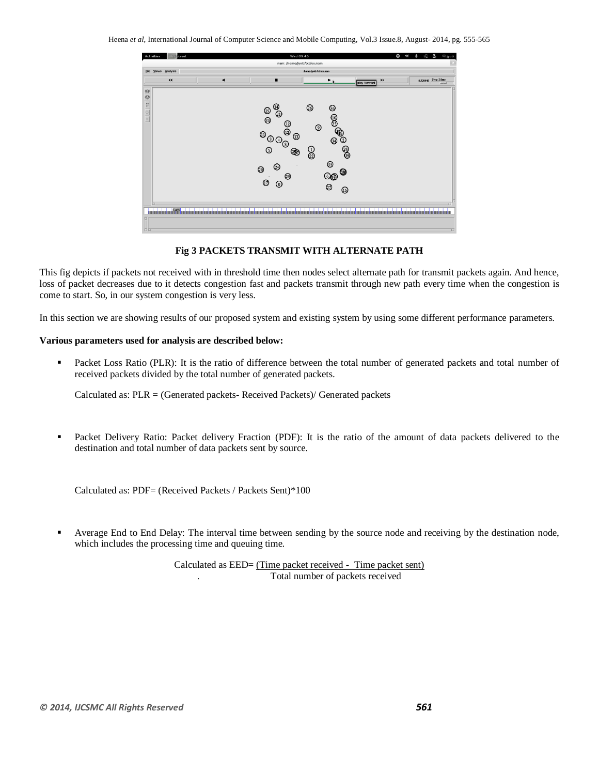

#### **Fig 3 PACKETS TRANSMIT WITH ALTERNATE PATH**

This fig depicts if packets not received with in threshold time then nodes select alternate path for transmit packets again. And hence, loss of packet decreases due to it detects congestion fast and packets transmit through new path every time when the congestion is come to start. So, in our system congestion is very less.

In this section we are showing results of our proposed system and existing system by using some different performance parameters.

#### **Various parameters used for analysis are described below:**

**Packet Loss Ratio (PLR):** It is the ratio of difference between the total number of generated packets and total number of received packets divided by the total number of generated packets.

Calculated as: PLR = (Generated packets- Received Packets)/ Generated packets

 Packet Delivery Ratio: Packet delivery Fraction (PDF): It is the ratio of the amount of data packets delivered to the destination and total number of data packets sent by source.

Calculated as: PDF= (Received Packets / Packets Sent)\*100

 Average End to End Delay: The interval time between sending by the source node and receiving by the destination node, which includes the processing time and queuing time.

> Calculated as EED= (Time packet received - Time packet sent) . Total number of packets received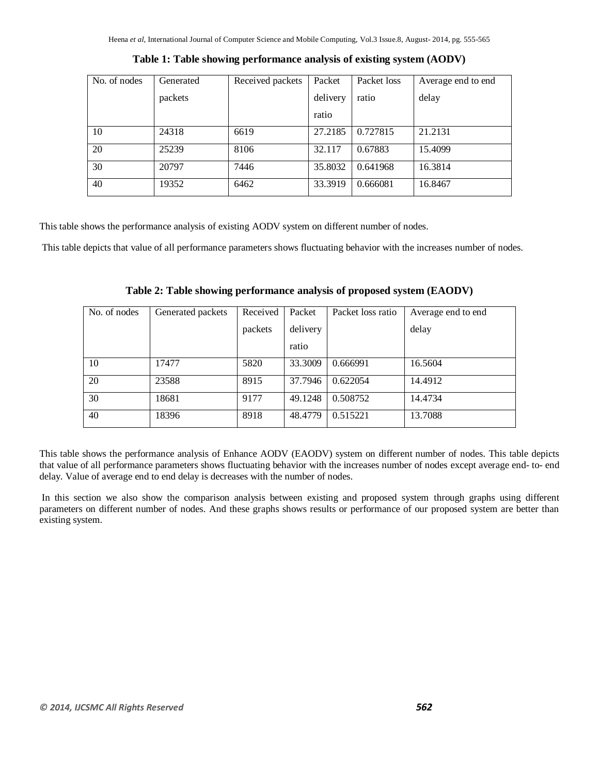| No. of nodes | Generated | Received packets | Packet   | Packet loss | Average end to end |
|--------------|-----------|------------------|----------|-------------|--------------------|
|              | packets   |                  | delivery | ratio       | delay              |
|              |           |                  | ratio    |             |                    |
| 10           | 24318     | 6619             | 27.2185  | 0.727815    | 21.2131            |
| 20           | 25239     | 8106             | 32.117   | 0.67883     | 15.4099            |
| 30           | 20797     | 7446             | 35.8032  | 0.641968    | 16.3814            |
| 40           | 19352     | 6462             | 33.3919  | 0.666081    | 16.8467            |

**Table 1: Table showing performance analysis of existing system (AODV)**

This table shows the performance analysis of existing AODV system on different number of nodes.

This table depicts that value of all performance parameters shows fluctuating behavior with the increases number of nodes.

No. of nodes Generated packets Received packets Packet delivery ratio Packet loss ratio Average end to end delay 10 | 17477 | 5820 | 33.3009 | 0.666991 | 16.5604 20 23588 8915 37.7946 0.622054 14.4912 30 18681 9177 49.1248 0.508752 14.4734 40 | 18396 | 8918 | 48.4779 | 0.515221 | 13.7088

**Table 2: Table showing performance analysis of proposed system (EAODV)**

This table shows the performance analysis of Enhance AODV (EAODV) system on different number of nodes. This table depicts that value of all performance parameters shows fluctuating behavior with the increases number of nodes except average end- to- end delay. Value of average end to end delay is decreases with the number of nodes.

In this section we also show the comparison analysis between existing and proposed system through graphs using different parameters on different number of nodes. And these graphs shows results or performance of our proposed system are better than existing system.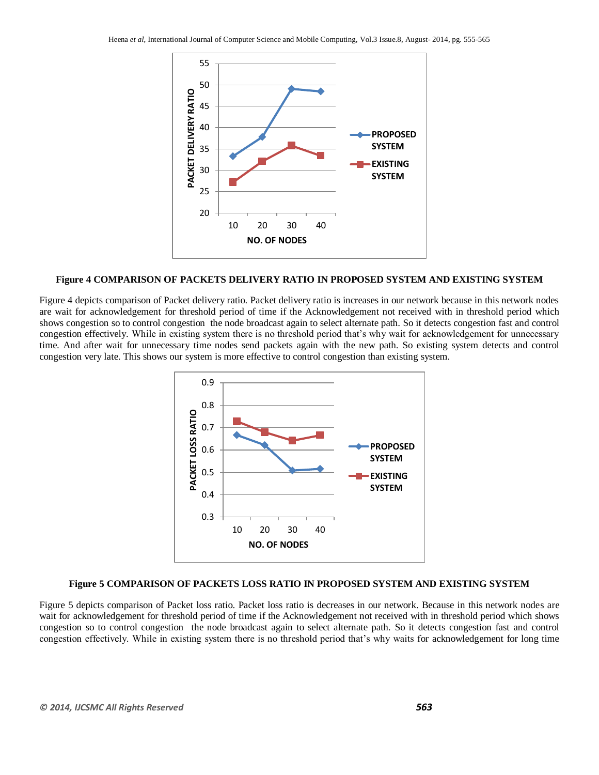

#### **Figure 4 COMPARISON OF PACKETS DELIVERY RATIO IN PROPOSED SYSTEM AND EXISTING SYSTEM**

Figure 4 depicts comparison of Packet delivery ratio. Packet delivery ratio is increases in our network because in this network nodes are wait for acknowledgement for threshold period of time if the Acknowledgement not received with in threshold period which shows congestion so to control congestion the node broadcast again to select alternate path. So it detects congestion fast and control congestion effectively. While in existing system there is no threshold period that's why wait for acknowledgement for unnecessary time. And after wait for unnecessary time nodes send packets again with the new path. So existing system detects and control congestion very late. This shows our system is more effective to control congestion than existing system.



#### **Figure 5 COMPARISON OF PACKETS LOSS RATIO IN PROPOSED SYSTEM AND EXISTING SYSTEM**

Figure 5 depicts comparison of Packet loss ratio. Packet loss ratio is decreases in our network. Because in this network nodes are wait for acknowledgement for threshold period of time if the Acknowledgement not received with in threshold period which shows congestion so to control congestion the node broadcast again to select alternate path. So it detects congestion fast and control congestion effectively. While in existing system there is no threshold period that's why waits for acknowledgement for long time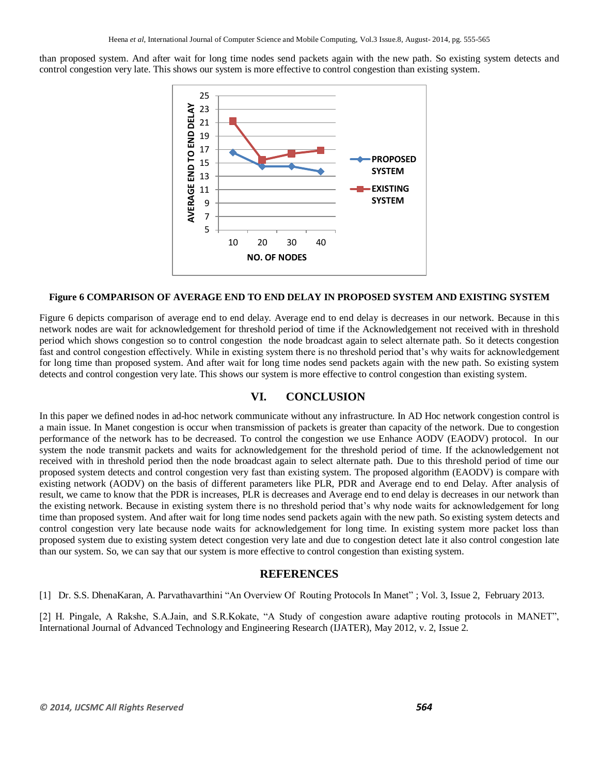than proposed system. And after wait for long time nodes send packets again with the new path. So existing system detects and control congestion very late. This shows our system is more effective to control congestion than existing system.



#### **Figure 6 COMPARISON OF AVERAGE END TO END DELAY IN PROPOSED SYSTEM AND EXISTING SYSTEM**

Figure 6 depicts comparison of average end to end delay. Average end to end delay is decreases in our network. Because in this network nodes are wait for acknowledgement for threshold period of time if the Acknowledgement not received with in threshold period which shows congestion so to control congestion the node broadcast again to select alternate path. So it detects congestion fast and control congestion effectively. While in existing system there is no threshold period that's why waits for acknowledgement for long time than proposed system. And after wait for long time nodes send packets again with the new path. So existing system detects and control congestion very late. This shows our system is more effective to control congestion than existing system.

#### **VI. CONCLUSION**

In this paper we defined nodes in ad-hoc network communicate without any infrastructure. In AD Hoc network congestion control is a main issue. In Manet congestion is occur when transmission of packets is greater than capacity of the network. Due to congestion performance of the network has to be decreased. To control the congestion we use Enhance AODV (EAODV) protocol. In our system the node transmit packets and waits for acknowledgement for the threshold period of time. If the acknowledgement not received with in threshold period then the node broadcast again to select alternate path. Due to this threshold period of time our proposed system detects and control congestion very fast than existing system. The proposed algorithm (EAODV) is compare with existing network (AODV) on the basis of different parameters like PLR, PDR and Average end to end Delay. After analysis of result, we came to know that the PDR is increases, PLR is decreases and Average end to end delay is decreases in our network than the existing network. Because in existing system there is no threshold period that's why node waits for acknowledgement for long time than proposed system. And after wait for long time nodes send packets again with the new path. So existing system detects and control congestion very late because node waits for acknowledgement for long time. In existing system more packet loss than proposed system due to existing system detect congestion very late and due to congestion detect late it also control congestion late than our system. So, we can say that our system is more effective to control congestion than existing system.

#### **REFERENCES**

[1] Dr. S.S. DhenaKaran, A. Parvathavarthini "An Overview Of Routing Protocols In Manet" ; Vol. 3, Issue 2, February 2013.

[2] H. Pingale, A Rakshe, S.A.Jain, and S.R.Kokate, "A Study of congestion aware adaptive routing protocols in MANET", International Journal of Advanced Technology and Engineering Research (IJATER), May 2012, v. 2, Issue 2.